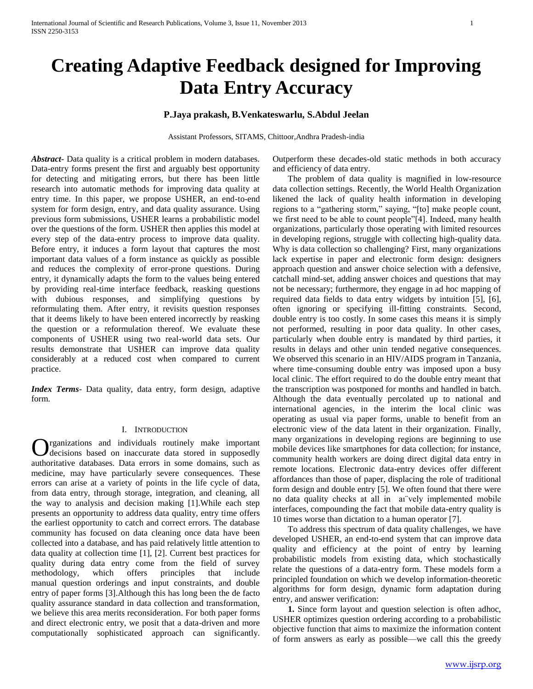# **Creating Adaptive Feedback designed for Improving Data Entry Accuracy**

# **P.Jaya prakash, B.Venkateswarlu, S.Abdul Jeelan**

Assistant Professors, SITAMS, Chittoor,Andhra Pradesh-india

*Abstract***-** Data quality is a critical problem in modern databases. Data-entry forms present the first and arguably best opportunity for detecting and mitigating errors, but there has been little research into automatic methods for improving data quality at entry time. In this paper, we propose USHER, an end-to-end system for form design, entry, and data quality assurance. Using previous form submissions, USHER learns a probabilistic model over the questions of the form. USHER then applies this model at every step of the data-entry process to improve data quality. Before entry, it induces a form layout that captures the most important data values of a form instance as quickly as possible and reduces the complexity of error-prone questions. During entry, it dynamically adapts the form to the values being entered by providing real-time interface feedback, reasking questions with dubious responses, and simplifying questions by reformulating them. After entry, it revisits question responses that it deems likely to have been entered incorrectly by reasking the question or a reformulation thereof. We evaluate these components of USHER using two real-world data sets. Our results demonstrate that USHER can improve data quality considerably at a reduced cost when compared to current practice.

*Index Terms*- Data quality, data entry, form design, adaptive form.

# I. INTRODUCTION

rganizations and individuals routinely make important decisions based on inaccurate data stored in supposedly authoritative databases. Data errors in some domains, such as medicine, may have particularly severe consequences. These errors can arise at a variety of points in the life cycle of data, from data entry, through storage, integration, and cleaning, all the way to analysis and decision making [1].While each step presents an opportunity to address data quality, entry time offers the earliest opportunity to catch and correct errors. The database community has focused on data cleaning once data have been collected into a database, and has paid relatively little attention to data quality at collection time [1], [2]. Current best practices for quality during data entry come from the field of survey methodology, which offers principles that include manual question orderings and input constraints, and double entry of paper forms [3].Although this has long been the de facto quality assurance standard in data collection and transformation, we believe this area merits reconsideration. For both paper forms and direct electronic entry, we posit that a data-driven and more computationally sophisticated approach can significantly. O

Outperform these decades-old static methods in both accuracy and efficiency of data entry.

 The problem of data quality is magnified in low-resource data collection settings. Recently, the World Health Organization likened the lack of quality health information in developing regions to a "gathering storm," saying, "[to] make people count, we first need to be able to count people"[4]. Indeed, many health organizations, particularly those operating with limited resources in developing regions, struggle with collecting high-quality data. Why is data collection so challenging? First, many organizations lack expertise in paper and electronic form design: designers approach question and answer choice selection with a defensive, catchall mind-set, adding answer choices and questions that may not be necessary; furthermore, they engage in ad hoc mapping of required data fields to data entry widgets by intuition [5], [6], often ignoring or specifying ill-fitting constraints. Second, double entry is too costly. In some cases this means it is simply not performed, resulting in poor data quality. In other cases, particularly when double entry is mandated by third parties, it results in delays and other unin tended negative consequences. We observed this scenario in an HIV/AIDS program in Tanzania, where time-consuming double entry was imposed upon a busy local clinic. The effort required to do the double entry meant that the transcription was postponed for months and handled in batch. Although the data eventually percolated up to national and international agencies, in the interim the local clinic was operating as usual via paper forms, unable to benefit from an electronic view of the data latent in their organization. Finally, many organizations in developing regions are beginning to use mobile devices like smartphones for data collection; for instance, community health workers are doing direct digital data entry in remote locations. Electronic data-entry devices offer different affordances than those of paper, displacing the role of traditional form design and double entry [5]. We often found that there were no data quality checks at all in aı¨vely implemented mobile interfaces, compounding the fact that mobile data-entry quality is 10 times worse than dictation to a human operator [7].

 To address this spectrum of data quality challenges, we have developed USHER, an end-to-end system that can improve data quality and efficiency at the point of entry by learning probabilistic models from existing data, which stochastically relate the questions of a data-entry form. These models form a principled foundation on which we develop information-theoretic algorithms for form design, dynamic form adaptation during entry, and answer verification:

 **1.** Since form layout and question selection is often adhoc, USHER optimizes question ordering according to a probabilistic objective function that aims to maximize the information content of form answers as early as possible—we call this the greedy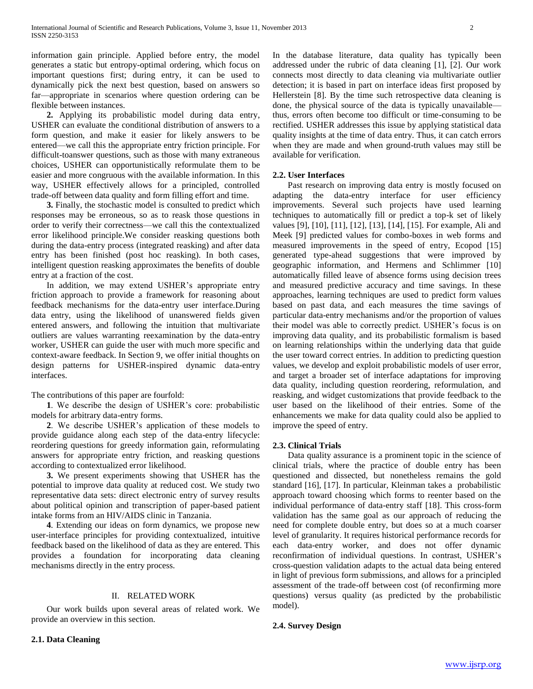information gain principle. Applied before entry, the model generates a static but entropy-optimal ordering, which focus on important questions first; during entry, it can be used to dynamically pick the next best question, based on answers so far—appropriate in scenarios where question ordering can be flexible between instances.

 **2.** Applying its probabilistic model during data entry, USHER can evaluate the conditional distribution of answers to a form question, and make it easier for likely answers to be entered—we call this the appropriate entry friction principle. For difficult-toanswer questions, such as those with many extraneous choices, USHER can opportunistically reformulate them to be easier and more congruous with the available information. In this way, USHER effectively allows for a principled, controlled trade-off between data quality and form filling effort and time.

 **3.** Finally, the stochastic model is consulted to predict which responses may be erroneous, so as to reask those questions in order to verify their correctness—we call this the contextualized error likelihood principle.We consider reasking questions both during the data-entry process (integrated reasking) and after data entry has been finished (post hoc reasking). In both cases, intelligent question reasking approximates the benefits of double entry at a fraction of the cost.

 In addition, we may extend USHER's appropriate entry friction approach to provide a framework for reasoning about feedback mechanisms for the data-entry user interface.During data entry, using the likelihood of unanswered fields given entered answers, and following the intuition that multivariate outliers are values warranting reexamination by the data-entry worker, USHER can guide the user with much more specific and context-aware feedback. In Section 9, we offer initial thoughts on design patterns for USHER-inspired dynamic data-entry interfaces.

The contributions of this paper are fourfold:

 **1**. We describe the design of USHER's core: probabilistic models for arbitrary data-entry forms.

 **2**. We describe USHER's application of these models to provide guidance along each step of the data-entry lifecycle: reordering questions for greedy information gain, reformulating answers for appropriate entry friction, and reasking questions according to contextualized error likelihood.

 **3.** We present experiments showing that USHER has the potential to improve data quality at reduced cost. We study two representative data sets: direct electronic entry of survey results about political opinion and transcription of paper-based patient intake forms from an HIV/AIDS clinic in Tanzania.

 **4**. Extending our ideas on form dynamics, we propose new user-interface principles for providing contextualized, intuitive feedback based on the likelihood of data as they are entered. This provides a foundation for incorporating data cleaning mechanisms directly in the entry process.

## II. RELATED WORK

 Our work builds upon several areas of related work. We provide an overview in this section.

**2.1. Data Cleaning**

In the database literature, data quality has typically been addressed under the rubric of data cleaning [1], [2]. Our work connects most directly to data cleaning via multivariate outlier detection; it is based in part on interface ideas first proposed by Hellerstein [8]. By the time such retrospective data cleaning is done, the physical source of the data is typically unavailable thus, errors often become too difficult or time-consuming to be rectified. USHER addresses this issue by applying statistical data quality insights at the time of data entry. Thus, it can catch errors when they are made and when ground-truth values may still be available for verification.

# **2.2. User Interfaces**

 Past research on improving data entry is mostly focused on adapting the data-entry interface for user efficiency improvements. Several such projects have used learning techniques to automatically fill or predict a top-k set of likely values [9], [10], [11], [12], [13], [14], [15]. For example, Ali and Meek [9] predicted values for combo-boxes in web forms and measured improvements in the speed of entry, Ecopod [15] generated type-ahead suggestions that were improved by geographic information, and Hermens and Schlimmer [10] automatically filled leave of absence forms using decision trees and measured predictive accuracy and time savings. In these approaches, learning techniques are used to predict form values based on past data, and each measures the time savings of particular data-entry mechanisms and/or the proportion of values their model was able to correctly predict. USHER's focus is on improving data quality, and its probabilistic formalism is based on learning relationships within the underlying data that guide the user toward correct entries. In addition to predicting question values, we develop and exploit probabilistic models of user error, and target a broader set of interface adaptations for improving data quality, including question reordering, reformulation, and reasking, and widget customizations that provide feedback to the user based on the likelihood of their entries. Some of the enhancements we make for data quality could also be applied to improve the speed of entry.

## **2.3. Clinical Trials**

 Data quality assurance is a prominent topic in the science of clinical trials, where the practice of double entry has been questioned and dissected, but nonetheless remains the gold standard [16], [17]. In particular, Kleinman takes a probabilistic approach toward choosing which forms to reenter based on the individual performance of data-entry staff [18]. This cross-form validation has the same goal as our approach of reducing the need for complete double entry, but does so at a much coarser level of granularity. It requires historical performance records for each data-entry worker, and does not offer dynamic reconfirmation of individual questions. In contrast, USHER's cross-question validation adapts to the actual data being entered in light of previous form submissions, and allows for a principled assessment of the trade-off between cost (of reconfirming more questions) versus quality (as predicted by the probabilistic model).

# **2.4. Survey Design**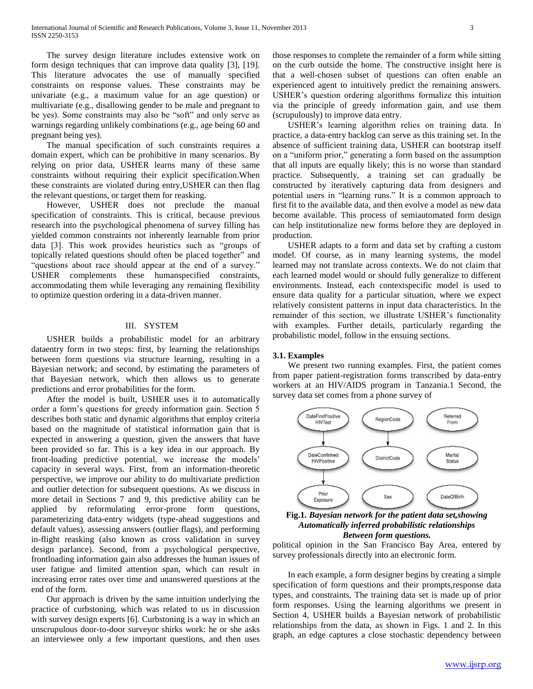The survey design literature includes extensive work on form design techniques that can improve data quality [3], [19]. This literature advocates the use of manually specified constraints on response values. These constraints may be univariate (e.g., a maximum value for an age question) or multivariate (e.g., disallowing gender to be male and pregnant to be yes). Some constraints may also be "soft" and only serve as warnings regarding unlikely combinations (e.g., age being 60 and pregnant being yes).

 The manual specification of such constraints requires a domain expert, which can be prohibitive in many scenarios. By relying on prior data, USHER learns many of these same constraints without requiring their explicit specification.When these constraints are violated during entry,USHER can then flag the relevant questions, or target them for reasking.

 However, USHER does not preclude the manual specification of constraints. This is critical, because previous research into the psychological phenomena of survey filling has yielded common constraints not inherently learnable from prior data [3]. This work provides heuristics such as "groups of topically related questions should often be placed together" and "questions about race should appear at the end of a survey." USHER complements these humanspecified constraints, accommodating them while leveraging any remaining flexibility to optimize question ordering in a data-driven manner.

# III. SYSTEM

 USHER builds a probabilistic model for an arbitrary dataentry form in two steps: first, by learning the relationships between form questions via structure learning, resulting in a Bayesian network; and second, by estimating the parameters of that Bayesian network, which then allows us to generate predictions and error probabilities for the form.

 After the model is built, USHER uses it to automatically order a form's questions for greedy information gain. Section 5 describes both static and dynamic algorithms that employ criteria based on the magnitude of statistical information gain that is expected in answering a question, given the answers that have been provided so far. This is a key idea in our approach. By front-loading predictive potential, we increase the models' capacity in several ways. First, from an information-theoretic perspective, we improve our ability to do multivariate prediction and outlier detection for subsequent questions. As we discuss in more detail in Sections 7 and 9, this predictive ability can be applied by reformulating error-prone form questions, parameterizing data-entry widgets (type-ahead suggestions and default values), assessing answers (outlier flags), and performing in-flight reasking (also known as cross validation in survey design parlance). Second, from a psychological perspective, frontloading information gain also addresses the human issues of user fatigue and limited attention span, which can result in increasing error rates over time and unanswered questions at the end of the form.

 Our approach is driven by the same intuition underlying the practice of curbstoning, which was related to us in discussion with survey design experts [6]. Curbstoning is a way in which an unscrupulous door-to-door surveyor shirks work: he or she asks an interviewee only a few important questions, and then uses

those responses to complete the remainder of a form while sitting on the curb outside the home. The constructive insight here is that a well-chosen subset of questions can often enable an experienced agent to intuitively predict the remaining answers. USHER's question ordering algorithms formalize this intuition via the principle of greedy information gain, and use them (scrupulously) to improve data entry.

 USHER's learning algorithm relies on training data. In practice, a data-entry backlog can serve as this training set. In the absence of sufficient training data, USHER can bootstrap itself on a "uniform prior," generating a form based on the assumption that all inputs are equally likely; this is no worse than standard practice. Subsequently, a training set can gradually be constructed by iteratively capturing data from designers and potential users in "learning runs." It is a common approach to first fit to the available data, and then evolve a model as new data become available. This process of semiautomated form design can help institutionalize new forms before they are deployed in production.

 USHER adapts to a form and data set by crafting a custom model. Of course, as in many learning systems, the model learned may not translate across contexts. We do not claim that each learned model would or should fully generalize to different environments. Instead, each contextspecific model is used to ensure data quality for a particular situation, where we expect relatively consistent patterns in input data characteristics. In the remainder of this section, we illustrate USHER's functionality with examples. Further details, particularly regarding the probabilistic model, follow in the ensuing sections.

# **3.1. Examples**

 We present two running examples. First, the patient comes from paper patient-registration forms transcribed by data-entry workers at an HIV/AIDS program in Tanzania.1 Second, the survey data set comes from a phone survey of





political opinion in the San Francisco Bay Area, entered by survey professionals directly into an electronic form.

 In each example, a form designer begins by creating a simple specification of form questions and their prompts,response data types, and constraints. The training data set is made up of prior form responses. Using the learning algorithms we present in Section 4, USHER builds a Bayesian network of probabilistic relationships from the data, as shown in Figs. 1 and 2. In this graph, an edge captures a close stochastic dependency between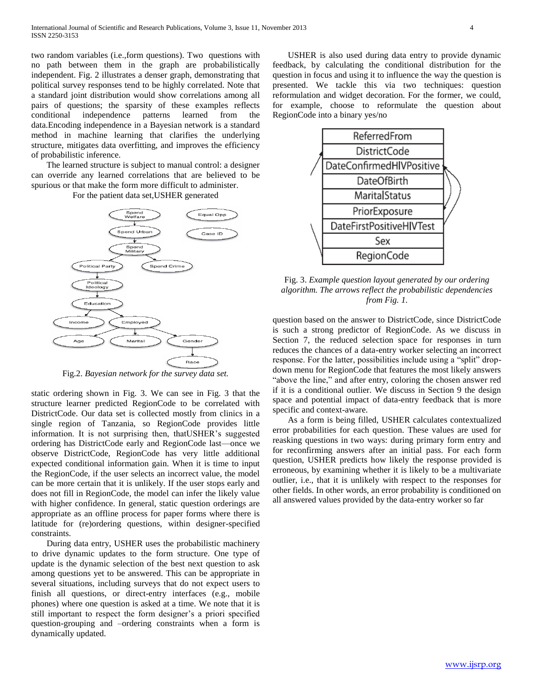two random variables (i.e.,form questions). Two questions with no path between them in the graph are probabilistically independent. Fig. 2 illustrates a denser graph, demonstrating that political survey responses tend to be highly correlated. Note that a standard joint distribution would show correlations among all pairs of questions; the sparsity of these examples reflects conditional independence patterns learned from the data.Encoding independence in a Bayesian network is a standard method in machine learning that clarifies the underlying structure, mitigates data overfitting, and improves the efficiency of probabilistic inference.

 The learned structure is subject to manual control: a designer can override any learned correlations that are believed to be spurious or that make the form more difficult to administer.





Fig.2. *Bayesian network for the survey data set.*

static ordering shown in Fig. 3. We can see in Fig. 3 that the structure learner predicted RegionCode to be correlated with DistrictCode. Our data set is collected mostly from clinics in a single region of Tanzania, so RegionCode provides little information. It is not surprising then, thatUSHER's suggested ordering has DistrictCode early and RegionCode last—once we observe DistrictCode, RegionCode has very little additional expected conditional information gain. When it is time to input the RegionCode, if the user selects an incorrect value, the model can be more certain that it is unlikely. If the user stops early and does not fill in RegionCode, the model can infer the likely value with higher confidence. In general, static question orderings are appropriate as an offline process for paper forms where there is latitude for (re)ordering questions, within designer-specified constraints.

 During data entry, USHER uses the probabilistic machinery to drive dynamic updates to the form structure. One type of update is the dynamic selection of the best next question to ask among questions yet to be answered. This can be appropriate in several situations, including surveys that do not expect users to finish all questions, or direct-entry interfaces (e.g., mobile phones) where one question is asked at a time. We note that it is still important to respect the form designer's a priori specified question-grouping and –ordering constraints when a form is dynamically updated.

 USHER is also used during data entry to provide dynamic feedback, by calculating the conditional distribution for the question in focus and using it to influence the way the question is presented. We tackle this via two techniques: question reformulation and widget decoration. For the former, we could, for example, choose to reformulate the question about RegionCode into a binary yes/no



Fig. 3. *Example question layout generated by our ordering algorithm. The arrows reflect the probabilistic dependencies from Fig. 1.*

question based on the answer to DistrictCode, since DistrictCode is such a strong predictor of RegionCode. As we discuss in Section 7, the reduced selection space for responses in turn reduces the chances of a data-entry worker selecting an incorrect response. For the latter, possibilities include using a "split" dropdown menu for RegionCode that features the most likely answers "above the line," and after entry, coloring the chosen answer red if it is a conditional outlier. We discuss in Section 9 the design space and potential impact of data-entry feedback that is more specific and context-aware.

 As a form is being filled, USHER calculates contextualized error probabilities for each question. These values are used for reasking questions in two ways: during primary form entry and for reconfirming answers after an initial pass. For each form question, USHER predicts how likely the response provided is erroneous, by examining whether it is likely to be a multivariate outlier, i.e., that it is unlikely with respect to the responses for other fields. In other words, an error probability is conditioned on all answered values provided by the data-entry worker so far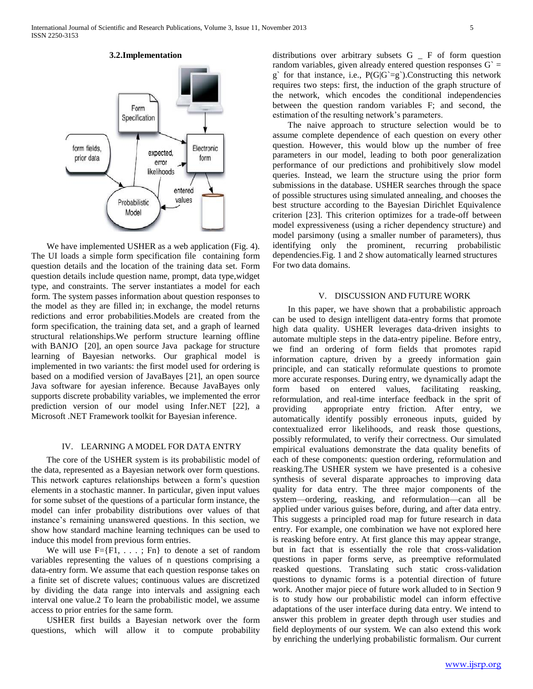# **3.2.Implementation**



 We have implemented USHER as a web application (Fig. 4). The UI loads a simple form specification file containing form question details and the location of the training data set. Form question details include question name, prompt, data type,widget type, and constraints. The server instantiates a model for each form. The system passes information about question responses to the model as they are filled in; in exchange, the model returns redictions and error probabilities.Models are created from the form specification, the training data set, and a graph of learned structural relationships.We perform structure learning offline with BANJO [20], an open source Java package for structure learning of Bayesian networks. Our graphical model is implemented in two variants: the first model used for ordering is based on a modified version of JavaBayes [21], an open source Java software for ayesian inference. Because JavaBayes only supports discrete probability variables, we implemented the error prediction version of our model using Infer.NET [22], a Microsoft .NET Framework toolkit for Bayesian inference.

# IV. LEARNING A MODEL FOR DATA ENTRY

 The core of the USHER system is its probabilistic model of the data, represented as a Bayesian network over form questions. This network captures relationships between a form's question elements in a stochastic manner. In particular, given input values for some subset of the questions of a particular form instance, the model can infer probability distributions over values of that instance's remaining unanswered questions. In this section, we show how standard machine learning techniques can be used to induce this model from previous form entries.

We will use  $F = \{F1, \ldots; Fn\}$  to denote a set of random variables representing the values of n questions comprising a data-entry form. We assume that each question response takes on a finite set of discrete values; continuous values are discretized by dividing the data range into intervals and assigning each interval one value.2 To learn the probabilistic model, we assume access to prior entries for the same form.

 USHER first builds a Bayesian network over the form questions, which will allow it to compute probability distributions over arbitrary subsets G \_ F of form question random variables, given already entered question responses  $G =$ g' for that instance, i.e.,  $P(G|G = g')$ . Constructing this network requires two steps: first, the induction of the graph structure of the network, which encodes the conditional independencies between the question random variables F; and second, the estimation of the resulting network's parameters.

 The naive approach to structure selection would be to assume complete dependence of each question on every other question. However, this would blow up the number of free parameters in our model, leading to both poor generalization performance of our predictions and prohibitively slow model queries. Instead, we learn the structure using the prior form submissions in the database. USHER searches through the space of possible structures using simulated annealing, and chooses the best structure according to the Bayesian Dirichlet Equivalence criterion [23]. This criterion optimizes for a trade-off between model expressiveness (using a richer dependency structure) and model parsimony (using a smaller number of parameters), thus identifying only the prominent, recurring probabilistic dependencies.Fig. 1 and 2 show automatically learned structures For two data domains.

#### V. DISCUSSION AND FUTURE WORK

 In this paper, we have shown that a probabilistic approach can be used to design intelligent data-entry forms that promote high data quality. USHER leverages data-driven insights to automate multiple steps in the data-entry pipeline. Before entry, we find an ordering of form fields that promotes rapid information capture, driven by a greedy information gain principle, and can statically reformulate questions to promote more accurate responses. During entry, we dynamically adapt the form based on entered values, facilitating reasking, reformulation, and real-time interface feedback in the sprit of providing appropriate entry friction. After entry, we automatically identify possibly erroneous inputs, guided by contextualized error likelihoods, and reask those questions, possibly reformulated, to verify their correctness. Our simulated empirical evaluations demonstrate the data quality benefits of each of these components: question ordering, reformulation and reasking.The USHER system we have presented is a cohesive synthesis of several disparate approaches to improving data quality for data entry. The three major components of the system—ordering, reasking, and reformulation—can all be applied under various guises before, during, and after data entry. This suggests a principled road map for future research in data entry. For example, one combination we have not explored here is reasking before entry. At first glance this may appear strange, but in fact that is essentially the role that cross-validation questions in paper forms serve, as preemptive reformulated reasked questions. Translating such static cross-validation questions to dynamic forms is a potential direction of future work. Another major piece of future work alluded to in Section 9 is to study how our probabilistic model can inform effective adaptations of the user interface during data entry. We intend to answer this problem in greater depth through user studies and field deployments of our system. We can also extend this work by enriching the underlying probabilistic formalism. Our current